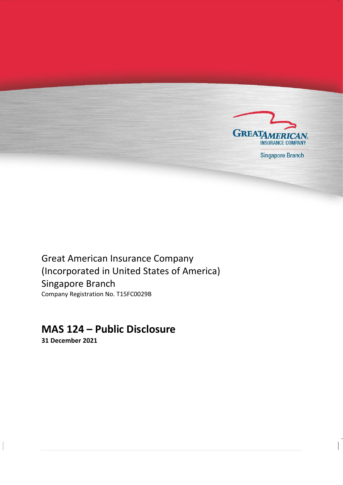

**Singapore Branch** 

Great American Insurance Company (Incorporated in United States of America) Singapore Branch Company Registration No. T15FC0029B

# **MAS 124 – Public Disclosure**

**31 December 2021**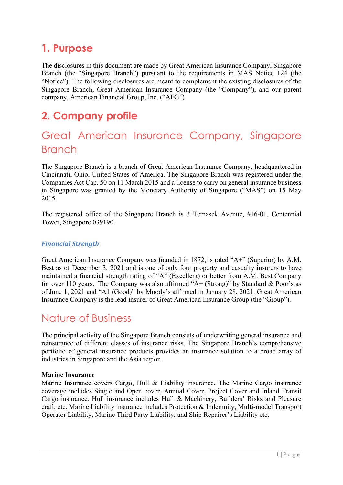# <span id="page-2-0"></span>**1. Purpose**

The disclosures in this document are made by Great American Insurance Company, Singapore Branch (the "Singapore Branch") pursuant to the requirements in MAS Notice 124 (the "Notice"). The following disclosures are meant to complement the existing disclosures of the Singapore Branch, Great American Insurance Company (the "Company"), and our parent company, American Financial Group, Inc. ("AFG")

# <span id="page-2-1"></span>**2. Company profile**

# <span id="page-2-2"></span>Great American Insurance Company, Singapore Branch

The Singapore Branch is a branch of Great American Insurance Company, headquartered in Cincinnati, Ohio, United States of America. The Singapore Branch was registered under the Companies Act Cap. 50 on 11 March 2015 and a license to carry on general insurance business in Singapore was granted by the Monetary Authority of Singapore ("MAS") on 15 May 2015.

The registered office of the Singapore Branch is 3 Temasek Avenue, #16-01, Centennial Tower, Singapore 039190.

## *Financial Strength*

Great American Insurance Company was founded in 1872, is rated "A+" (Superior) by A.M. Best as of December 3, 2021 and is one of only four property and casualty insurers to have maintained a financial strength rating of "A" (Excellent) or better from A.M. Best Company for over 110 years. The Company was also affirmed "A+ (Strong)" by Standard & Poor's as of June 1, 2021 and "A1 (Good)" by Moody's affirmed in January 28, 2021. Great American Insurance Company is the lead insurer of Great American Insurance Group (the "Group").

## <span id="page-2-3"></span>Nature of Business

The principal activity of the Singapore Branch consists of underwriting general insurance and reinsurance of different classes of insurance risks. The Singapore Branch's comprehensive portfolio of general insurance products provides an insurance solution to a broad array of industries in Singapore and the Asia region.

### **Marine Insurance**

Marine Insurance covers Cargo, Hull & Liability insurance. The Marine Cargo insurance coverage includes Single and Open cover, Annual Cover, Project Cover and Inland Transit Cargo insurance. Hull insurance includes Hull & Machinery, Builders' Risks and Pleasure craft, etc. Marine Liability insurance includes Protection & Indemnity, Multi-model Transport Operator Liability, Marine Third Party Liability, and Ship Repairer's Liability etc.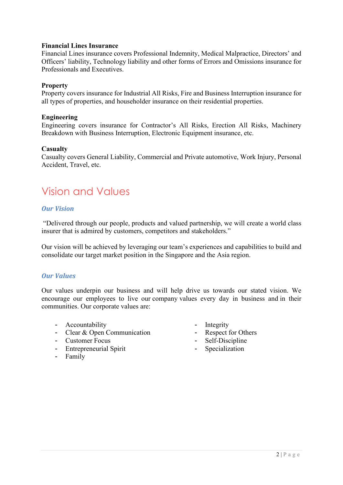### **Financial Lines Insurance**

Financial Lines insurance covers Professional Indemnity, Medical Malpractice, Directors' and Officers' liability, Technology liability and other forms of Errors and Omissions insurance for Professionals and Executives.

### **Property**

Property covers insurance for Industrial All Risks, Fire and Business Interruption insurance for all types of properties, and householder insurance on their residential properties.

### **Engineering**

Engineering covers insurance for Contractor's All Risks, Erection All Risks, Machinery Breakdown with Business Interruption, Electronic Equipment insurance, etc.

### **Casualty**

Casualty covers General Liability, Commercial and Private automotive, Work Injury, Personal Accident, Travel, etc.

# <span id="page-3-0"></span>Vision and Values

## *Our Vision*

"Delivered through our people, products and valued partnership, we will create a world class insurer that is admired by customers, competitors and stakeholders."

Our vision will be achieved by leveraging our team's experiences and capabilities to build and consolidate our target market position in the Singapore and the Asia region.

### *Our Values*

Our values underpin our business and will help drive us towards our stated vision. We encourage our employees to live our company values every day in business and in their communities. Our corporate values are:

- Accountability
- Clear & Open Communication
- Customer Focus
- Entrepreneurial Spirit
- Family
- Integrity
- Respect for Others
- Self-Discipline
- Specialization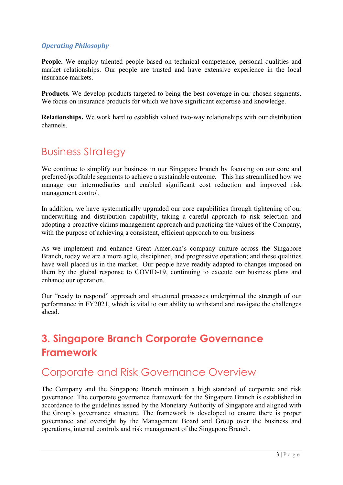## *Operating Philosophy*

**People.** We employ talented people based on technical competence, personal qualities and market relationships. Our people are trusted and have extensive experience in the local insurance markets.

**Products.** We develop products targeted to being the best coverage in our chosen segments. We focus on insurance products for which we have significant expertise and knowledge.

**Relationships.** We work hard to establish valued two-way relationships with our distribution channels.

# <span id="page-4-0"></span>Business Strategy

We continue to simplify our business in our Singapore branch by focusing on our core and preferred/profitable segments to achieve a sustainable outcome. This has streamlined how we manage our intermediaries and enabled significant cost reduction and improved risk management control.

In addition, we have systematically upgraded our core capabilities through tightening of our underwriting and distribution capability, taking a careful approach to risk selection and adopting a proactive claims management approach and practicing the values of the Company, with the purpose of achieving a consistent, efficient approach to our business

As we implement and enhance Great American's company culture across the Singapore Branch, today we are a more agile, disciplined, and progressive operation; and these qualities have well placed us in the market. Our people have readily adapted to changes imposed on them by the global response to COVID-19, continuing to execute our business plans and enhance our operation.

Our "ready to respond" approach and structured processes underpinned the strength of our performance in FY2021, which is vital to our ability to withstand and navigate the challenges ahead.

# <span id="page-4-1"></span>**3. Singapore Branch Corporate Governance Framework**

## <span id="page-4-2"></span>Corporate and Risk Governance Overview

The Company and the Singapore Branch maintain a high standard of corporate and risk governance. The corporate governance framework for the Singapore Branch is established in accordance to the guidelines issued by the Monetary Authority of Singapore and aligned with the Group's governance structure. The framework is developed to ensure there is proper governance and oversight by the Management Board and Group over the business and operations, internal controls and risk management of the Singapore Branch.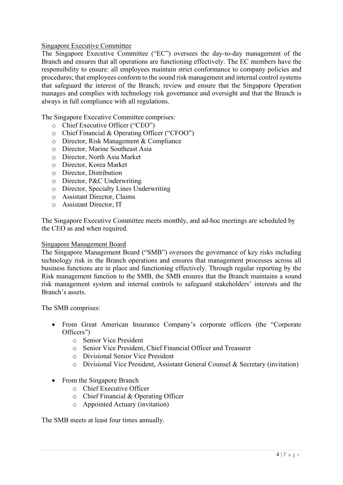### Singapore Executive Committee

The Singapore Executive Committee ("EC") oversees the day-to-day management of the Branch and ensures that all operations are functioning effectively. The EC members have the responsibility to ensure: all employees maintain strict conformance to company policies and procedures; that employees conform to the sound risk management and internal controlsystems that safeguard the interest of the Branch; review and ensure that the Singapore Operation manages and complies with technology risk governance and oversight and that the Branch is always in full compliance with all regulations.

The Singapore Executive Committee comprises:

- o Chief Executive Officer ("CEO")
- o Chief Financial & Operating Officer ("CFOO")
- o Director, Risk Management & Compliance
- o Director, Marine Southeast Asia
- o Director, North Asia Market
- o Director, Korea Market
- o Director, Distribution
- o Director, P&C Underwriting
- o Director, Specialty Lines Underwriting
- o Assistant Director, Claims
- o Assistant Director, IT

The Singapore Executive Committee meets monthly, and ad-hoc meetings are scheduled by the CEO as and when required.

#### Singapore Management Board

The Singapore Management Board ("SMB") oversees the governance of key risks including technology risk in the Branch operations and ensures that management processes across all business functions are in place and functioning effectively. Through regular reporting by the Risk management function to the SMB, the SMB ensures that the Branch maintains a sound risk management system and internal controls to safeguard stakeholders' interests and the Branch's assets.

The SMB comprises:

- From Great American Insurance Company's corporate officers (the "Corporate Officers")
	- o Senior Vice President
	- o Senior Vice President, Chief Financial Officer and Treasurer
	- o Divisional Senior Vice President
	- o Divisional Vice President, Assistant General Counsel & Secretary (invitation)
- From the Singapore Branch
	- o Chief Executive Officer
	- o Chief Financial & Operating Officer
	- o Appointed Actuary (invitation)

The SMB meets at least four times annually.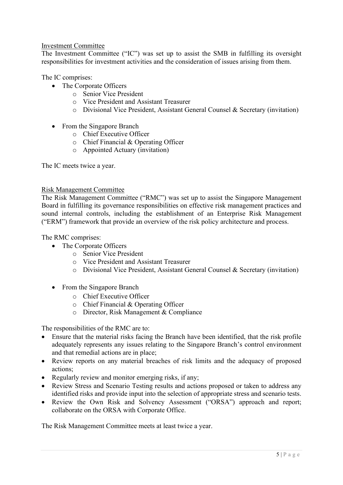### Investment Committee

The Investment Committee ("IC") was set up to assist the SMB in fulfilling its oversight responsibilities for investment activities and the consideration of issues arising from them.

The IC comprises:

- The Corporate Officers
	- o Senior Vice President
	- o Vice President and Assistant Treasurer
	- o Divisional Vice President, Assistant General Counsel & Secretary (invitation)
- From the Singapore Branch
	- o Chief Executive Officer
	- o Chief Financial & Operating Officer
	- o Appointed Actuary (invitation)

The IC meets twice a year.

### Risk Management Committee

The Risk Management Committee ("RMC") was set up to assist the Singapore Management Board in fulfilling its governance responsibilities on effective risk management practices and sound internal controls, including the establishment of an Enterprise Risk Management ("ERM") framework that provide an overview of the risk policy architecture and process.

The RMC comprises:

- The Corporate Officers
	- o Senior Vice President
	- o Vice President and Assistant Treasurer
	- o Divisional Vice President, Assistant General Counsel & Secretary (invitation)
- From the Singapore Branch
	- o Chief Executive Officer
	- o Chief Financial & Operating Officer
	- o Director, Risk Management & Compliance

The responsibilities of the RMC are to:

- Ensure that the material risks facing the Branch have been identified, that the risk profile adequately represents any issues relating to the Singapore Branch's control environment and that remedial actions are in place;
- Review reports on any material breaches of risk limits and the adequacy of proposed actions;
- Regularly review and monitor emerging risks, if any;
- Review Stress and Scenario Testing results and actions proposed or taken to address any identified risks and provide input into the selection of appropriate stress and scenario tests.
- Review the Own Risk and Solvency Assessment ("ORSA") approach and report; collaborate on the ORSA with Corporate Office.

The Risk Management Committee meets at least twice a year.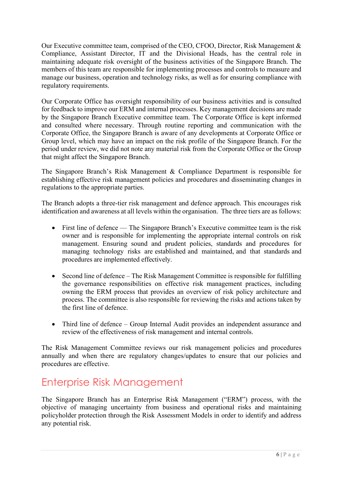Our Executive committee team, comprised of the CEO, CFOO, Director, Risk Management & Compliance, Assistant Director, IT and the Divisional Heads, has the central role in maintaining adequate risk oversight of the business activities of the Singapore Branch. The members of this team are responsible for implementing processes and controls to measure and manage our business, operation and technology risks, as well as for ensuring compliance with regulatory requirements.

Our Corporate Office has oversight responsibility of our business activities and is consulted for feedback to improve our ERM and internal processes. Key management decisions are made by the Singapore Branch Executive committee team. The Corporate Office is kept informed and consulted where necessary. Through routine reporting and communication with the Corporate Office, the Singapore Branch is aware of any developments at Corporate Office or Group level, which may have an impact on the risk profile of the Singapore Branch. For the period under review, we did not note any material risk from the Corporate Office or the Group that might affect the Singapore Branch.

The Singapore Branch's Risk Management & Compliance Department is responsible for establishing effective risk management policies and procedures and disseminating changes in regulations to the appropriate parties.

The Branch adopts a three-tier risk management and defence approach. This encourages risk identification and awareness at all levels within the organisation. The three tiers are as follows:

- First line of defence The Singapore Branch's Executive committee team is the risk owner and is responsible for implementing the appropriate internal controls on risk management. Ensuring sound and prudent policies, standards and procedures for managing technology risks are established and maintained, and that standards and procedures are implemented effectively.
- Second line of defence The Risk Management Committee is responsible for fulfilling the governance responsibilities on effective risk management practices, including owning the ERM process that provides an overview of risk policy architecture and process. The committee is also responsible for reviewing the risks and actions taken by the first line of defence.
- Third line of defence Group Internal Audit provides an independent assurance and review of the effectiveness of risk management and internal controls.

The Risk Management Committee reviews our risk management policies and procedures annually and when there are regulatory changes/updates to ensure that our policies and procedures are effective.

# <span id="page-7-0"></span>Enterprise Risk Management

The Singapore Branch has an Enterprise Risk Management ("ERM") process, with the objective of managing uncertainty from business and operational risks and maintaining policyholder protection through the Risk Assessment Models in order to identify and address any potential risk.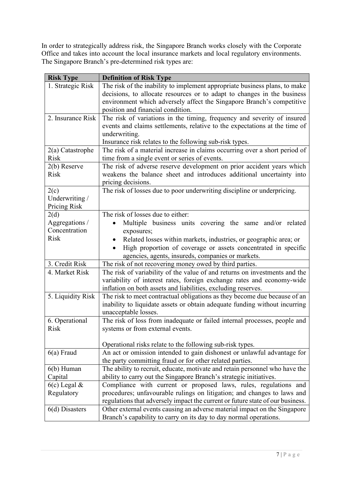In order to strategically address risk, the Singapore Branch works closely with the Corporate Office and takes into account the local insurance markets and local regulatory environments. The Singapore Branch's pre-determined risk types are:

| <b>Risk Type</b>              | <b>Definition of Risk Type</b>                                                                                |
|-------------------------------|---------------------------------------------------------------------------------------------------------------|
| 1. Strategic Risk             | The risk of the inability to implement appropriate business plans, to make                                    |
|                               | decisions, to allocate resources or to adapt to changes in the business                                       |
|                               | environment which adversely affect the Singapore Branch's competitive                                         |
|                               | position and financial condition.                                                                             |
| 2. Insurance Risk             | The risk of variations in the timing, frequency and severity of insured                                       |
|                               | events and claims settlements, relative to the expectations at the time of                                    |
|                               | underwriting.                                                                                                 |
|                               | Insurance risk relates to the following sub-risk types.                                                       |
| $2(a)$ Catastrophe            | The risk of a material increase in claims occurring over a short period of                                    |
| Risk                          | time from a single event or series of events.                                                                 |
| $2(b)$ Reserve                | The risk of adverse reserve development on prior accident years which                                         |
| <b>Risk</b>                   | weakens the balance sheet and introduces additional uncertainty into                                          |
|                               | pricing decisions.                                                                                            |
| 2(c)                          | The risk of losses due to poor underwriting discipline or underpricing.                                       |
| Underwriting /                |                                                                                                               |
| Pricing Risk                  |                                                                                                               |
| 2(d)                          | The risk of losses due to either:                                                                             |
| Aggregations /                | Multiple business units covering the same and/or related                                                      |
| Concentration                 | exposures;                                                                                                    |
| <b>Risk</b>                   | Related losses within markets, industries, or geographic area; or                                             |
|                               | High proportion of coverage or assets concentrated in specific                                                |
|                               | agencies, agents, insureds, companies or markets.                                                             |
| 3. Credit Risk                | The risk of not recovering money owed by third parties.                                                       |
| 4. Market Risk                | The risk of variability of the value of and returns on investments and the                                    |
|                               | variability of interest rates, foreign exchange rates and economy-wide                                        |
|                               | inflation on both assets and liabilities, excluding reserves.                                                 |
| 5. Liquidity Risk             | The risk to meet contractual obligations as they become due because of an                                     |
|                               | inability to liquidate assets or obtain adequate funding without incurring                                    |
|                               | unacceptable losses.                                                                                          |
| 6. Operational<br><b>Risk</b> | The risk of loss from inadequate or failed internal processes, people and<br>systems or from external events. |
|                               |                                                                                                               |
|                               | Operational risks relate to the following sub-risk types.                                                     |
| $6(a)$ Fraud                  | An act or omission intended to gain dishonest or unlawful advantage for                                       |
|                               | the party committing fraud or for other related parties.                                                      |
| $6(b)$ Human                  | The ability to recruit, educate, motivate and retain personnel who have the                                   |
| Capital                       | ability to carry out the Singapore Branch's strategic initiatives.                                            |
| $6(c)$ Legal &                | Compliance with current or proposed laws, rules, regulations and                                              |
| Regulatory                    | procedures; unfavourable rulings on litigation; and changes to laws and                                       |
|                               | regulations that adversely impact the current or future state of our business.                                |
| $6(d)$ Disasters              | Other external events causing an adverse material impact on the Singapore                                     |
|                               | Branch's capability to carry on its day to day normal operations.                                             |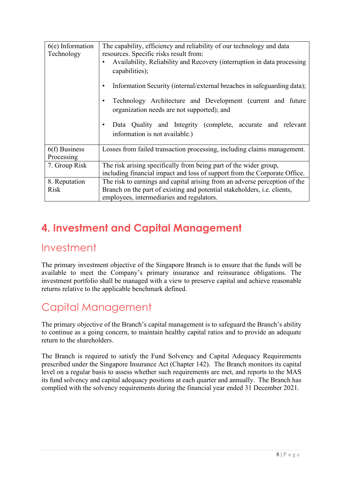| $6(e)$ Information<br>Technology | The capability, efficiency and reliability of our technology and data<br>resources. Specific risks result from:<br>Availability, Reliability and Recovery (interruption in data processing<br>capabilities); |
|----------------------------------|--------------------------------------------------------------------------------------------------------------------------------------------------------------------------------------------------------------|
|                                  | Information Security (internal/external breaches in safeguarding data);                                                                                                                                      |
|                                  | Technology Architecture and Development (current and future<br>٠<br>organization needs are not supported); and                                                                                               |
|                                  | Data Quality and Integrity (complete, accurate and relevant<br>٠<br>information is not available.)                                                                                                           |
| $6(f)$ Business<br>Processing    | Losses from failed transaction processing, including claims management.                                                                                                                                      |
| 7. Group Risk                    | The risk arising specifically from being part of the wider group,<br>including financial impact and loss of support from the Corporate Office.                                                               |
| 8. Reputation<br>Risk            | The risk to earnings and capital arising from an adverse perception of the<br>Branch on the part of existing and potential stakeholders, <i>i.e.</i> clients,<br>employees, intermediaries and regulators.   |

# <span id="page-9-0"></span>**4. Investment and Capital Management**

## <span id="page-9-1"></span>Investment

The primary investment objective of the Singapore Branch is to ensure that the funds will be available to meet the Company's primary insurance and reinsurance obligations. The investment portfolio shall be managed with a view to preserve capital and achieve reasonable returns relative to the applicable benchmark defined.

# <span id="page-9-2"></span>Capital Management

The primary objective of the Branch's capital management is to safeguard the Branch's ability to continue as a going concern, to maintain healthy capital ratios and to provide an adequate return to the shareholders.

The Branch is required to satisfy the Fund Solvency and Capital Adequacy Requirements prescribed under the Singapore Insurance Act (Chapter 142). The Branch monitors its capital level on a regular basis to assess whether such requirements are met, and reports to the MAS its fund solvency and capital adequacy positions at each quarter and annually. The Branch has complied with the solvency requirements during the financial year ended 31 December 2021.